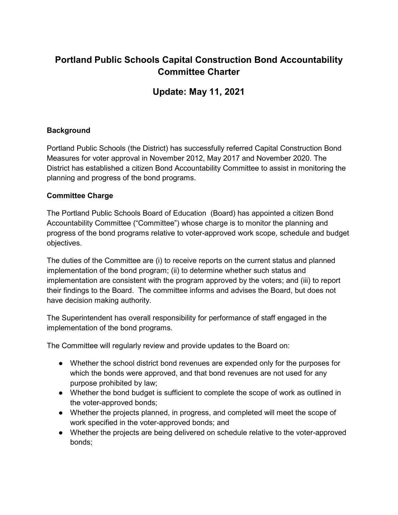# **Portland Public Schools Capital Construction Bond Accountability Committee Charter**

# **Update: May 11, 2021**

# **Background**

Portland Public Schools (the District) has successfully referred Capital Construction Bond Measures for voter approval in November 2012, May 2017 and November 2020. The District has established a citizen Bond Accountability Committee to assist in monitoring the planning and progress of the bond programs.

# **Committee Charge**

The Portland Public Schools Board of Education (Board) has appointed a citizen Bond Accountability Committee ("Committee") whose charge is to monitor the planning and progress of the bond programs relative to voter-approved work scope, schedule and budget objectives.

The duties of the Committee are (i) to receive reports on the current status and planned implementation of the bond program; (ii) to determine whether such status and implementation are consistent with the program approved by the voters; and (iii) to report their findings to the Board. The committee informs and advises the Board, but does not have decision making authority.

The Superintendent has overall responsibility for performance of staff engaged in the implementation of the bond programs.

The Committee will regularly review and provide updates to the Board on:

- Whether the school district bond revenues are expended only for the purposes for which the bonds were approved, and that bond revenues are not used for any purpose prohibited by law;
- Whether the bond budget is sufficient to complete the scope of work as outlined in the voter-approved bonds;
- Whether the projects planned, in progress, and completed will meet the scope of work specified in the voter-approved bonds; and
- Whether the projects are being delivered on schedule relative to the voter-approved bonds;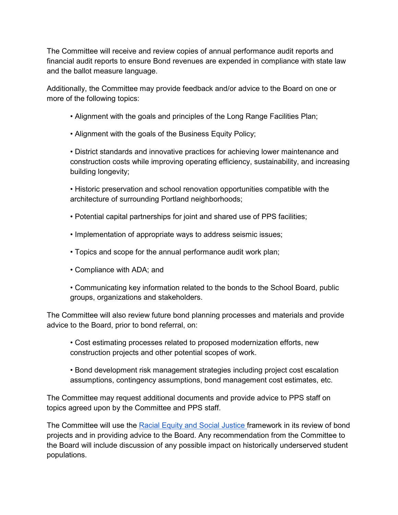The Committee will receive and review copies of annual performance audit reports and financial audit reports to ensure Bond revenues are expended in compliance with state law and the ballot measure language.

Additionally, the Committee may provide feedback and/or advice to the Board on one or more of the following topics:

- Alignment with the goals and principles of the Long Range Facilities Plan;
- Alignment with the goals of the Business Equity Policy;

• District standards and innovative practices for achieving lower maintenance and construction costs while improving operating efficiency, sustainability, and increasing building longevity;

• Historic preservation and school renovation opportunities compatible with the architecture of surrounding Portland neighborhoods;

- Potential capital partnerships for joint and shared use of PPS facilities;
- Implementation of appropriate ways to address seismic issues;
- Topics and scope for the annual performance audit work plan;
- Compliance with ADA; and
- Communicating key information related to the bonds to the School Board, public groups, organizations and stakeholders.

The Committee will also review future bond planning processes and materials and provide advice to the Board, prior to bond referral, on:

• Cost estimating processes related to proposed modernization efforts, new construction projects and other potential scopes of work.

• Bond development risk management strategies including project cost escalation assumptions, contingency assumptions, bond management cost estimates, etc.

The Committee may request additional documents and provide advice to PPS staff on topics agreed upon by the Committee and PPS staff.

The Committee will use the Racial Equity and Social Justice framework in its review of bond projects and in providing advice to the Board. Any recommendation from the Committee to the Board will include discussion of any possible impact on historically underserved student populations.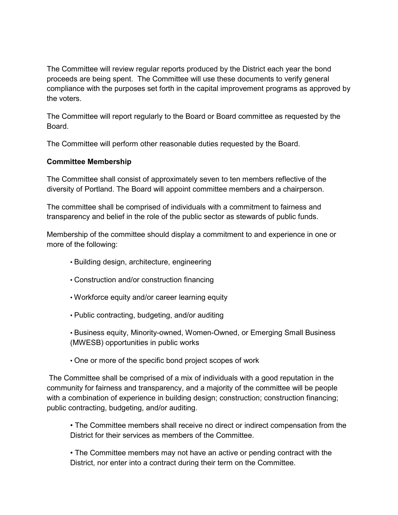The Committee will review regular reports produced by the District each year the bond proceeds are being spent. The Committee will use these documents to verify general compliance with the purposes set forth in the capital improvement programs as approved by the voters.

The Committee will report regularly to the Board or Board committee as requested by the Board.

The Committee will perform other reasonable duties requested by the Board.

## **Committee Membership**

The Committee shall consist of approximately seven to ten members reflective of the diversity of Portland. The Board will appoint committee members and a chairperson.

The committee shall be comprised of individuals with a commitment to fairness and transparency and belief in the role of the public sector as stewards of public funds.

Membership of the committee should display a commitment to and experience in one or more of the following:

- Building design, architecture, engineering
- Construction and/or construction financing
- Workforce equity and/or career learning equity
- Public contracting, budgeting, and/or auditing
- Business equity, Minority-owned, Women-Owned, or Emerging Small Business (MWESB) opportunities in public works
- One or more of the specific bond project scopes of work

 The Committee shall be comprised of a mix of individuals with a good reputation in the community for fairness and transparency, and a majority of the committee will be people with a combination of experience in building design; construction; construction financing; public contracting, budgeting, and/or auditing.

• The Committee members shall receive no direct or indirect compensation from the District for their services as members of the Committee.

• The Committee members may not have an active or pending contract with the District, nor enter into a contract during their term on the Committee.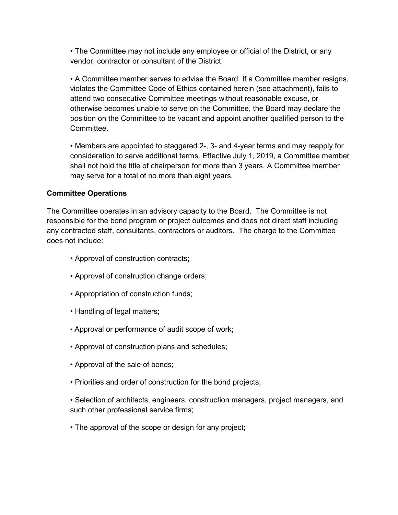• The Committee may not include any employee or official of the District, or any vendor, contractor or consultant of the District.

• A Committee member serves to advise the Board. If a Committee member resigns, violates the Committee Code of Ethics contained herein (see attachment), fails to attend two consecutive Committee meetings without reasonable excuse, or otherwise becomes unable to serve on the Committee, the Board may declare the position on the Committee to be vacant and appoint another qualified person to the Committee.

• Members are appointed to staggered 2-, 3- and 4-year terms and may reapply for consideration to serve additional terms. Effective July 1, 2019, a Committee member shall not hold the title of chairperson for more than 3 years. A Committee member may serve for a total of no more than eight years.

## **Committee Operations**

The Committee operates in an advisory capacity to the Board. The Committee is not responsible for the bond program or project outcomes and does not direct staff including any contracted staff, consultants, contractors or auditors. The charge to the Committee does not include:

- Approval of construction contracts;
- Approval of construction change orders;
- Appropriation of construction funds;
- Handling of legal matters;
- Approval or performance of audit scope of work;
- Approval of construction plans and schedules;
- Approval of the sale of bonds;
- Priorities and order of construction for the bond projects;

• Selection of architects, engineers, construction managers, project managers, and such other professional service firms;

• The approval of the scope or design for any project;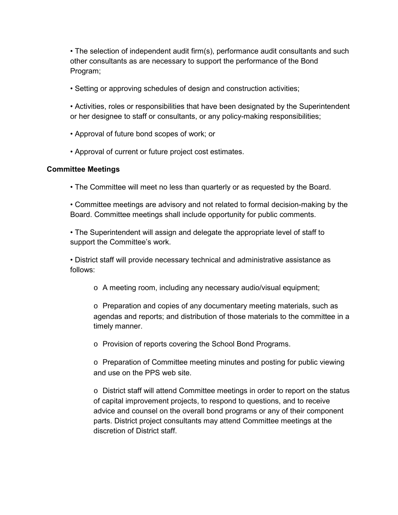• The selection of independent audit firm(s), performance audit consultants and such other consultants as are necessary to support the performance of the Bond Program;

• Setting or approving schedules of design and construction activities;

• Activities, roles or responsibilities that have been designated by the Superintendent or her designee to staff or consultants, or any policy-making responsibilities;

- Approval of future bond scopes of work; or
- Approval of current or future project cost estimates.

#### **Committee Meetings**

• The Committee will meet no less than quarterly or as requested by the Board.

• Committee meetings are advisory and not related to formal decision-making by the Board. Committee meetings shall include opportunity for public comments.

• The Superintendent will assign and delegate the appropriate level of staff to support the Committee's work.

• District staff will provide necessary technical and administrative assistance as follows:

o A meeting room, including any necessary audio/visual equipment;

 $\circ$  Preparation and copies of any documentary meeting materials, such as agendas and reports; and distribution of those materials to the committee in a timely manner.

o Provision of reports covering the School Bond Programs.

 $\circ$  Preparation of Committee meeting minutes and posting for public viewing and use on the PPS web site.

 $\circ$  District staff will attend Committee meetings in order to report on the status of capital improvement projects, to respond to questions, and to receive advice and counsel on the overall bond programs or any of their component parts. District project consultants may attend Committee meetings at the discretion of District staff.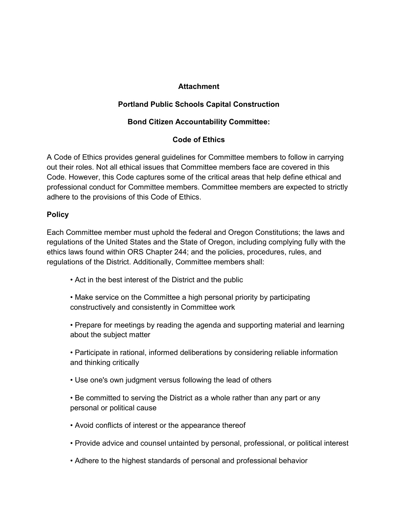## **Attachment**

# **Portland Public Schools Capital Construction**

## **Bond Citizen Accountability Committee:**

## **Code of Ethics**

A Code of Ethics provides general guidelines for Committee members to follow in carrying out their roles. Not all ethical issues that Committee members face are covered in this Code. However, this Code captures some of the critical areas that help define ethical and professional conduct for Committee members. Committee members are expected to strictly adhere to the provisions of this Code of Ethics.

#### **Policy**

Each Committee member must uphold the federal and Oregon Constitutions; the laws and regulations of the United States and the State of Oregon, including complying fully with the ethics laws found within ORS Chapter 244; and the policies, procedures, rules, and regulations of the District. Additionally, Committee members shall:

- Act in the best interest of the District and the public
- Make service on the Committee a high personal priority by participating constructively and consistently in Committee work
- Prepare for meetings by reading the agenda and supporting material and learning about the subject matter
- Participate in rational, informed deliberations by considering reliable information and thinking critically
- Use one's own judgment versus following the lead of others
- Be committed to serving the District as a whole rather than any part or any personal or political cause
- Avoid conflicts of interest or the appearance thereof
- Provide advice and counsel untainted by personal, professional, or political interest
- Adhere to the highest standards of personal and professional behavior